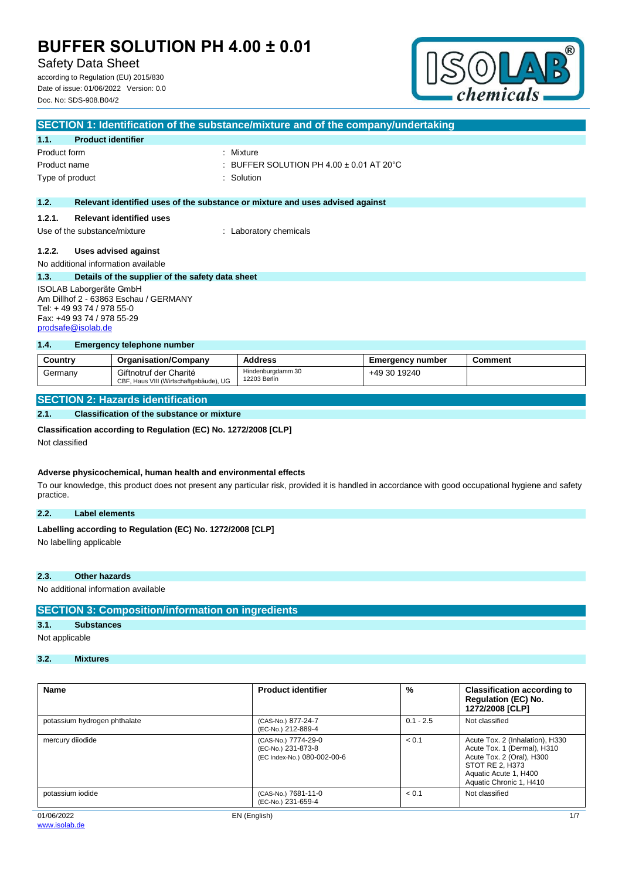Safety Data Sheet

according to Regulation (EU) 2015/830 Date of issue: 01/06/2022 Version: 0.0 Doc. No: SDS-908.B04/2



| SECTION 1: Identification of the substance/mixture and of the company/undertaking |                                                  |                                                                               |  |
|-----------------------------------------------------------------------------------|--------------------------------------------------|-------------------------------------------------------------------------------|--|
| 1.1.                                                                              | <b>Product identifier</b>                        |                                                                               |  |
| Product form                                                                      |                                                  | : Mixture                                                                     |  |
| Product name                                                                      |                                                  | : BUFFER SOLUTION PH 4.00 $\pm$ 0.01 AT 20 $^{\circ}$ C                       |  |
|                                                                                   | Type of product                                  | : Solution                                                                    |  |
|                                                                                   |                                                  |                                                                               |  |
| 1.2.                                                                              |                                                  | Relevant identified uses of the substance or mixture and uses advised against |  |
| 1.2.1.                                                                            | <b>Relevant identified uses</b>                  |                                                                               |  |
|                                                                                   | Use of the substance/mixture                     | : Laboratory chemicals                                                        |  |
| 1.2.2.                                                                            | Uses advised against                             |                                                                               |  |
|                                                                                   |                                                  |                                                                               |  |
|                                                                                   | No additional information available              |                                                                               |  |
| 1.3.                                                                              | Details of the supplier of the safety data sheet |                                                                               |  |
| <b>ISOLAB Laborgeräte GmbH</b>                                                    |                                                  |                                                                               |  |
| Am Dillhof 2 - 63863 Eschau / GERMANY                                             |                                                  |                                                                               |  |
| Tel: +49 93 74 / 978 55-0                                                         |                                                  |                                                                               |  |
| Fax: +49 93 74 / 978 55-29                                                        |                                                  |                                                                               |  |

### **1.4. Emergency telephone number**

| Country | <b>Organisation/Company</b>                                      | <b>Address</b>                    | <b>Emergency number</b> | <b>Comment</b> |
|---------|------------------------------------------------------------------|-----------------------------------|-------------------------|----------------|
| Germany | Giftnotruf der Charité<br>CBF, Haus VIII (Wirtschaftgebäude), UG | Hindenburgdamm 30<br>12203 Berlin | +49 30 19240            |                |

### **SECTION 2: Hazards identification**

#### **2.1. Classification of the substance or mixture**

#### **Classification according to Regulation (EC) No. 1272/2008 [CLP]**

Not classified

[prodsafe@isolab.de](mailto:prodsafe@isolab.de)

#### **Adverse physicochemical, human health and environmental effects**

To our knowledge, this product does not present any particular risk, provided it is handled in accordance with good occupational hygiene and safety practice.

#### **2.2. Label elements**

# Labelling according to Regulation (EC) No. 1272/2008 [CLP]

No labelling applicable

#### **2.3. Other hazards**

No additional information available

### **SECTION 3: Composition/information on ingredients**

### **3.1. Substances**

Not applicable

## **3.2. Mixtures**

| <b>Name</b>                  | <b>Product identifier</b>                                                | %           | <b>Classification according to</b><br><b>Regulation (EC) No.</b><br>1272/2008 [CLP]                                                                                |
|------------------------------|--------------------------------------------------------------------------|-------------|--------------------------------------------------------------------------------------------------------------------------------------------------------------------|
| potassium hydrogen phthalate | (CAS-No.) 877-24-7<br>(EC-No.) 212-889-4                                 | $0.1 - 2.5$ | Not classified                                                                                                                                                     |
| mercury diiodide             | (CAS-No.) 7774-29-0<br>(EC-No.) 231-873-8<br>(EC Index-No.) 080-002-00-6 | < 0.1       | Acute Tox. 2 (Inhalation), H330<br>Acute Tox. 1 (Dermal), H310<br>Acute Tox. 2 (Oral), H300<br>STOT RE 2, H373<br>Aquatic Acute 1, H400<br>Aquatic Chronic 1, H410 |
| potassium iodide             | (CAS-No.) 7681-11-0<br>(EC-No.) 231-659-4                                | < 0.1       | Not classified                                                                                                                                                     |
| 01/06/2022                   | EN (English)                                                             |             | 1/7                                                                                                                                                                |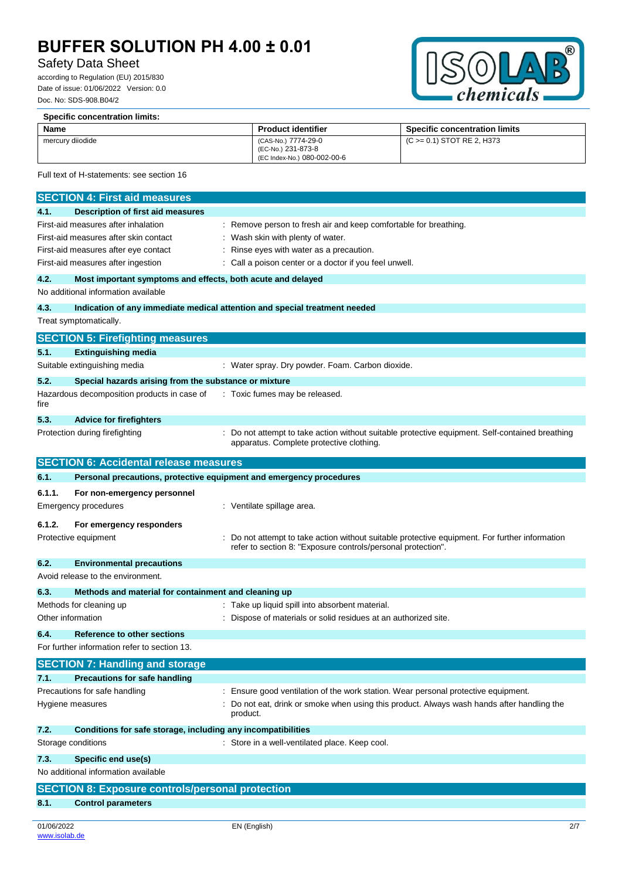mercury diiodide (CAS-No.) 7774-29-0

## Safety Data Sheet

according to Regulation (EU) 2015/830 Date of issue: 01/06/2022 Version: 0.0 Doc. No: SDS-908.B04/2

**Specific concentration limits:**



(C >= 0.1) STOT RE 2, H373

## EN (English) 2/7 (EC-No.) 231-873-8 (EC Index-No.) 080-002-00-6 Full text of H-statements: see section 16 **SECTION 4: First aid measures 4.1. Description of first aid measures** First-aid measures after inhalation : Remove person to fresh air and keep comfortable for breathing. First-aid measures after skin contact : Wash skin with plenty of water. First-aid measures after eye contact : Rinse eyes with water as a precaution. First-aid measures after ingestion : Call a poison center or a doctor if you feel unwell. **4.2. Most important symptoms and effects, both acute and delayed** No additional information available **4.3. Indication of any immediate medical attention and special treatment needed** Treat symptomatically. **SECTION 5: Firefighting measures 5.1. Extinguishing media** Suitable extinguishing media : Water spray. Dry powder. Foam. Carbon dioxide. **5.2. Special hazards arising from the substance or mixture** Hazardous decomposition products in case of fire : Toxic fumes may be released. **5.3. Advice for firefighters** Protection during firefighting  $\blacksquare$ : Do not attempt to take action without suitable protective equipment. Self-contained breathing apparatus. Complete protective clothing. **SECTION 6: Accidental release measures 6.1. Personal precautions, protective equipment and emergency procedures 6.1.1. For non-emergency personnel** Emergency procedures in the spillage area. **6.1.2. For emergency responders** Protective equipment **interprotective** contraction without suitable protective equipment. For further information refer to section 8: "Exposure controls/personal protection". **6.2. Environmental precautions** Avoid release to the environment. **6.3. Methods and material for containment and cleaning up** Methods for cleaning up example and the state up liquid spill into absorbent material. Other information **intervals in the contract of materials** or solid residues at an authorized site. **6.4. Reference to other sections** For further information refer to section 13. **SECTION 7: Handling and storage 7.1. Precautions for safe handling** Precautions for safe handling : Ensure good ventilation of the work station. Wear personal protective equipment. Hygiene measures states of the state of the not eat, drink or smoke when using this product. Always wash hands after handling the product. **7.2. Conditions for safe storage, including any incompatibilities** Storage conditions **Storage conditions** : Store in a well-ventilated place. Keep cool. **7.3. Specific end use(s)** No additional information available **SECTION 8: Exposure controls/personal protection 8.1. Control parameters**

**Name Product identifier Specific concentration limits Name Specific concentration limits**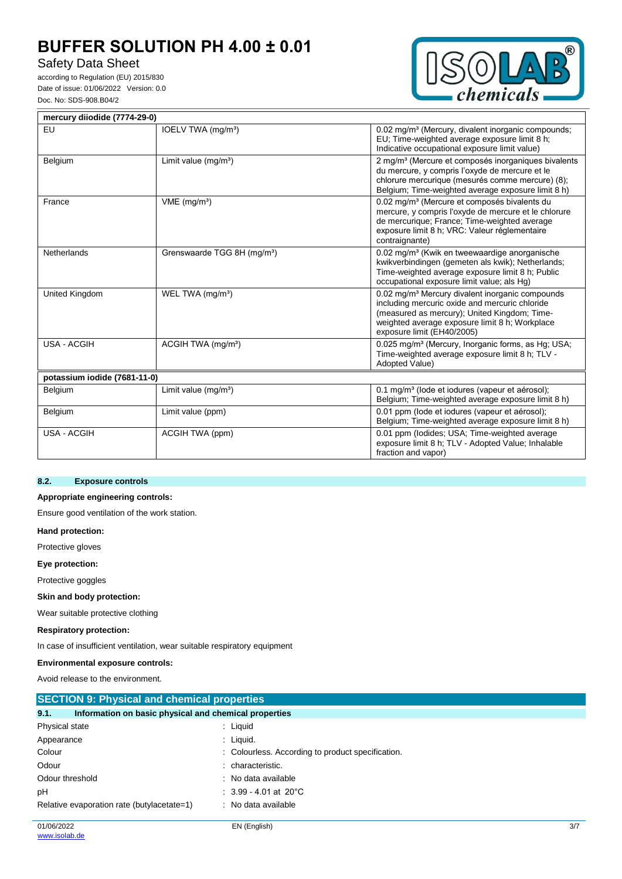Safety Data Sheet

according to Regulation (EU) 2015/830 Date of issue: 01/06/2022 Version: 0.0 Doc. No: SDS-908.B04/2



| mercury diiodide (7774-29-0) |                                         |                                                                                                                                                                                                                                               |
|------------------------------|-----------------------------------------|-----------------------------------------------------------------------------------------------------------------------------------------------------------------------------------------------------------------------------------------------|
| EU                           | IOELV TWA (mg/m <sup>3</sup> )          | 0.02 mg/m <sup>3</sup> (Mercury, divalent inorganic compounds;<br>EU; Time-weighted average exposure limit 8 h;<br>Indicative occupational exposure limit value)                                                                              |
| Belgium                      | Limit value $(mq/m3)$                   | 2 mg/m <sup>3</sup> (Mercure et composés inorganiques bivalents<br>du mercure, y compris l'oxyde de mercure et le<br>chlorure mercurique (mesurés comme mercure) (8);<br>Belgium; Time-weighted average exposure limit 8 h)                   |
| France                       | $VME$ (mg/m <sup>3</sup> )              | 0.02 mg/m <sup>3</sup> (Mercure et composés bivalents du<br>mercure, y compris l'oxyde de mercure et le chlorure<br>de mercurique; France; Time-weighted average<br>exposure limit 8 h; VRC: Valeur réglementaire<br>contraignante)           |
| Netherlands                  | Grenswaarde TGG 8H (mg/m <sup>3</sup> ) | 0.02 mg/m <sup>3</sup> (Kwik en tweewaardige anorganische<br>kwikverbindingen (gemeten als kwik); Netherlands;<br>Time-weighted average exposure limit 8 h; Public<br>occupational exposure limit value; als Hg)                              |
| United Kingdom               | WEL TWA (mg/m <sup>3</sup> )            | 0.02 mg/m <sup>3</sup> Mercury divalent inorganic compounds<br>including mercuric oxide and mercuric chloride<br>(measured as mercury); United Kingdom; Time-<br>weighted average exposure limit 8 h; Workplace<br>exposure limit (EH40/2005) |
| <b>USA - ACGIH</b>           | ACGIH TWA (mg/m <sup>3</sup> )          | 0.025 mg/m <sup>3</sup> (Mercury, Inorganic forms, as Hg; USA;<br>Time-weighted average exposure limit 8 h; TLV -<br>Adopted Value)                                                                                                           |
| potassium iodide (7681-11-0) |                                         |                                                                                                                                                                                                                                               |
| Belgium                      | Limit value $(mg/m3)$                   | 0.1 mg/m <sup>3</sup> (lode et iodures (vapeur et aérosol);<br>Belgium; Time-weighted average exposure limit 8 h)                                                                                                                             |
| Belgium                      | Limit value (ppm)                       | 0.01 ppm (lode et iodures (vapeur et aérosol);<br>Belgium; Time-weighted average exposure limit 8 h)                                                                                                                                          |
| USA - ACGIH                  | ACGIH TWA (ppm)                         | 0.01 ppm (lodides; USA; Time-weighted average<br>exposure limit 8 h; TLV - Adopted Value; Inhalable<br>fraction and vapor)                                                                                                                    |

#### **8.2. Exposure controls**

#### **Appropriate engineering controls:**

Ensure good ventilation of the work station.

**Hand protection:**

Protective gloves

**Eye protection:**

Protective goggles

#### **Skin and body protection:**

Wear suitable protective clothing

#### **Respiratory protection:**

In case of insufficient ventilation, wear suitable respiratory equipment

#### **Environmental exposure controls:**

Avoid release to the environment.

| <b>SECTION 9: Physical and chemical properties</b>            |                                                   |     |
|---------------------------------------------------------------|---------------------------------------------------|-----|
| 9.1.<br>Information on basic physical and chemical properties |                                                   |     |
| Physical state                                                | $:$ Liquid                                        |     |
| Appearance                                                    | $:$ Liquid.                                       |     |
| Colour                                                        | : Colourless. According to product specification. |     |
| Odour                                                         | : characteristic.                                 |     |
| Odour threshold                                               | : No data available                               |     |
| рH                                                            | : $3.99 - 4.01$ at 20 °C                          |     |
| Relative evaporation rate (butylacetate=1)                    | : No data available                               |     |
| 01/06/2022                                                    | EN (English)                                      | 3/7 |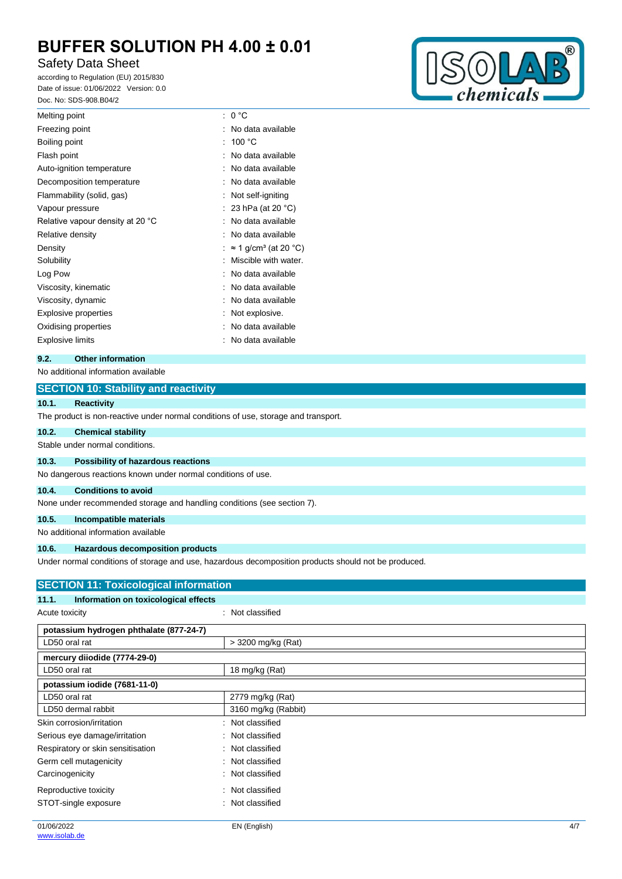## Safety Data Sheet

according to Regulation (EU) 2015/830 Date of issue: 01/06/2022 Version: 0.0 Doc. No: SDS-908.B04/2



| Melting point                    | 0 °C   |                                          |
|----------------------------------|--------|------------------------------------------|
| Freezing point                   |        | No data available                        |
| Boiling point                    | 100 °C |                                          |
| Flash point                      |        | No data available                        |
| Auto-ignition temperature        |        | No data available                        |
| Decomposition temperature        |        | No data available                        |
| Flammability (solid, gas)        |        | Not self-igniting                        |
| Vapour pressure                  |        | 23 hPa (at 20 °C)                        |
| Relative vapour density at 20 °C |        | No data available                        |
| Relative density                 |        | No data available                        |
| Density                          |        | $\approx$ 1 g/cm <sup>3</sup> (at 20 °C) |
| Solubility                       |        | Miscible with water.                     |
| Log Pow                          |        | No data available                        |
| Viscosity, kinematic             |        | No data available                        |
| Viscosity, dynamic               |        | No data available                        |
| Explosive properties             |        | Not explosive.                           |
| Oxidising properties             |        | No data available                        |
| Explosive limits                 |        | No data available                        |

#### **9.2. Other information**

No additional information available

|                | <b>SECTION 10: Stability and reactivity</b>                                                          |                  |  |  |
|----------------|------------------------------------------------------------------------------------------------------|------------------|--|--|
| 10.1.          | <b>Reactivity</b>                                                                                    |                  |  |  |
|                | The product is non-reactive under normal conditions of use, storage and transport.                   |                  |  |  |
| 10.2.          | <b>Chemical stability</b>                                                                            |                  |  |  |
|                | Stable under normal conditions.                                                                      |                  |  |  |
| 10.3.          | Possibility of hazardous reactions                                                                   |                  |  |  |
|                | No dangerous reactions known under normal conditions of use.                                         |                  |  |  |
| 10.4.          | <b>Conditions to avoid</b>                                                                           |                  |  |  |
|                | None under recommended storage and handling conditions (see section 7).                              |                  |  |  |
| 10.5.          | Incompatible materials                                                                               |                  |  |  |
|                | No additional information available                                                                  |                  |  |  |
| 10.6.          | <b>Hazardous decomposition products</b>                                                              |                  |  |  |
|                | Under normal conditions of storage and use, hazardous decomposition products should not be produced. |                  |  |  |
|                | <b>SECTION 11: Toxicological information</b>                                                         |                  |  |  |
| 11.1.          | Information on toxicological effects                                                                 |                  |  |  |
| Acute toxicity |                                                                                                      | : Not classified |  |  |
|                | potassium hydrogen phthalate (877-24-7)                                                              |                  |  |  |
|                | LD50 oral rat<br>> 3200 mg/kg (Rat)                                                                  |                  |  |  |
|                | mercury diiodide (7774-29-0)                                                                         |                  |  |  |

| LD50 oral rat                     | 18 mg/kg (Rat)      |
|-----------------------------------|---------------------|
| potassium iodide (7681-11-0)      |                     |
| LD50 oral rat                     | 2779 mg/kg (Rat)    |
| LD50 dermal rabbit                | 3160 mg/kg (Rabbit) |
| Skin corrosion/irritation         | : Not classified    |
| Serious eye damage/irritation     | Not classified      |
| Respiratory or skin sensitisation | Not classified      |
| Germ cell mutagenicity            | Not classified      |
| Carcinogenicity                   | Not classified      |
| Reproductive toxicity             | Not classified      |
| STOT-single exposure              | Not classified      |
|                                   |                     |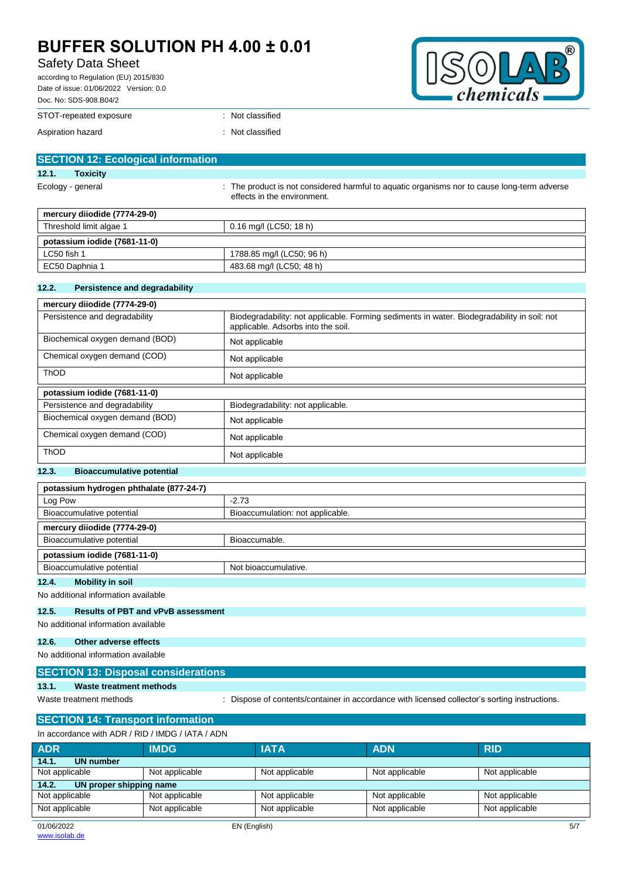## Safety Data Sheet





| <b>SECTION 12: Ecological information</b> |                                                                                                                            |  |
|-------------------------------------------|----------------------------------------------------------------------------------------------------------------------------|--|
| 12.1.<br><b>Toxicity</b>                  |                                                                                                                            |  |
| Ecology - general                         | : The product is not considered harmful to aquatic organisms nor to cause long-term adverse<br>effects in the environment. |  |
| mercury diiodide (7774-29-0)              |                                                                                                                            |  |
| Threshold limit algae 1                   | $0.16$ mg/l (LC50; 18 h)                                                                                                   |  |
| potassium iodide (7681-11-0)              |                                                                                                                            |  |
| LC50 fish 1                               | 1788.85 mg/l (LC50; 96 h)                                                                                                  |  |
| EC50 Daphnia 1                            | 483.68 mg/l (LC50; 48 h)                                                                                                   |  |

### **12.2. Persistence and degradability**

| mercury diiodide (7774-29-0)    |                                                                                                                                   |  |
|---------------------------------|-----------------------------------------------------------------------------------------------------------------------------------|--|
| Persistence and degradability   | Biodegradability: not applicable. Forming sediments in water. Biodegradability in soil: not<br>applicable. Adsorbs into the soil. |  |
| Biochemical oxygen demand (BOD) | Not applicable                                                                                                                    |  |
| Chemical oxygen demand (COD)    | Not applicable                                                                                                                    |  |
| ThOD                            | Not applicable                                                                                                                    |  |
| potassium iodide (7681-11-0)    |                                                                                                                                   |  |
| Persistence and degradability   | Biodegradability: not applicable.                                                                                                 |  |
| Biochemical oxygen demand (BOD) | Not applicable                                                                                                                    |  |
| Chemical oxygen demand (COD)    | Not applicable                                                                                                                    |  |
| <b>ThOD</b>                     | Not applicable                                                                                                                    |  |

#### **12.3. Bioaccumulative potential**

| potassium hydrogen phthalate (877-24-7)                                                                                                                                                                                           |               |  |
|-----------------------------------------------------------------------------------------------------------------------------------------------------------------------------------------------------------------------------------|---------------|--|
| Log Pow                                                                                                                                                                                                                           | $-2.73$       |  |
| Bioaccumulative potential<br>Bioaccumulation: not applicable.                                                                                                                                                                     |               |  |
| mercury diiodide (7774-29-0)                                                                                                                                                                                                      |               |  |
| Bioaccumulative potential                                                                                                                                                                                                         | Bioaccumable. |  |
| potassium iodide (7681-11-0)                                                                                                                                                                                                      |               |  |
| Bioaccumulative potential<br>Not bioaccumulative.                                                                                                                                                                                 |               |  |
| 12.4.<br><b>Mobility in soil</b>                                                                                                                                                                                                  |               |  |
| $\mathbf{r}$ . The state of the state of the state of the state of the state of the state of the state of the state of the state of the state of the state of the state of the state of the state of the state of the state of th |               |  |

No additional information available

#### **12.5. Results of PBT and vPvB assessment**

No additional information available

#### **12.6. Other adverse effects**

No additional information available

```
SECTION 13: Disposal considerations
```
#### **13.1. Waste treatment methods**

Waste treatment methods : Dispose of contents/container in accordance with licensed collector's sorting instructions.

## **SECTION 14: Transport information**

In accordance with ADR / RID / IMDG / IATA / ADN

| <b>ADR</b>                       | <b>IMDG</b>    | <b>IATA</b>    | <b>ADN</b>     | <b>RID</b>     |  |
|----------------------------------|----------------|----------------|----------------|----------------|--|
| 14.1.<br>UN number               |                |                |                |                |  |
| Not applicable                   | Not applicable | Not applicable | Not applicable | Not applicable |  |
| 14.2.<br>UN proper shipping name |                |                |                |                |  |
| Not applicable                   | Not applicable | Not applicable | Not applicable | Not applicable |  |
| Not applicable                   | Not applicable | Not applicable | Not applicable | Not applicable |  |
|                                  |                |                |                |                |  |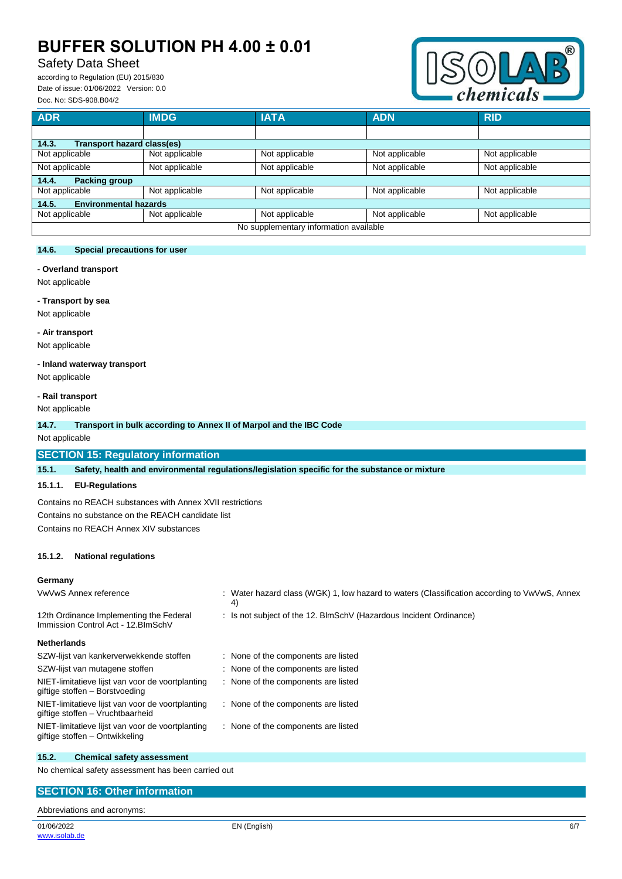## Safety Data Sheet

according to Regulation (EU) 2015/830 Date of issue: 01/06/2022 Version: 0.0 Doc. No: SDS-908.B04/2



| <b>ADR</b>                             | <b>IMDG</b>    | <b>IATA</b>    | <b>ADN</b>     | <b>RID</b>     |  |  |  |
|----------------------------------------|----------------|----------------|----------------|----------------|--|--|--|
|                                        |                |                |                |                |  |  |  |
| Transport hazard class(es)<br>14.3.    |                |                |                |                |  |  |  |
| Not applicable                         | Not applicable | Not applicable | Not applicable | Not applicable |  |  |  |
| Not applicable                         | Not applicable | Not applicable | Not applicable | Not applicable |  |  |  |
| Packing group<br>14.4.                 |                |                |                |                |  |  |  |
| Not applicable                         | Not applicable | Not applicable | Not applicable | Not applicable |  |  |  |
| <b>Environmental hazards</b><br>14.5.  |                |                |                |                |  |  |  |
| Not applicable                         | Not applicable | Not applicable | Not applicable | Not applicable |  |  |  |
| No supplementary information available |                |                |                |                |  |  |  |

### **14.6. Special precautions for user**

#### **- Overland transport**

Not applicable

#### **- Transport by sea**

Not applicable

#### **- Air transport**

Not applicable

### **- Inland waterway transport**

Not applicable

#### **- Rail transport**

Not applicable

#### **14.7. Transport in bulk according to Annex II of Marpol and the IBC Code**

Not applicable

#### **SECTION 15: Regulatory information**

**15.1. Safety, health and environmental regulations/legislation specific for the substance or mixture**

#### **15.1.1. EU-Regulations**

Contains no REACH substances with Annex XVII restrictions Contains no substance on the REACH candidate list Contains no REACH Annex XIV substances

#### **15.1.2. National regulations**

#### **Germany**

| VwVwS Annex reference                                                                | : Water hazard class (WGK) 1, low hazard to waters (Classification according to VwVwS, Annex<br>4) |
|--------------------------------------------------------------------------------------|----------------------------------------------------------------------------------------------------|
| 12th Ordinance Implementing the Federal<br>Immission Control Act - 12. BlmSchV       | : Is not subject of the 12. BlmSchV (Hazardous Incident Ordinance)                                 |
| <b>Netherlands</b>                                                                   |                                                                                                    |
| SZW-lijst van kankerverwekkende stoffen                                              | : None of the components are listed                                                                |
| SZW-lijst van mutagene stoffen                                                       | : None of the components are listed                                                                |
| NIET-limitatieve lijst van voor de voortplanting<br>giftige stoffen - Borstvoeding   | : None of the components are listed                                                                |
| NIET-limitatieve lijst van voor de voortplanting<br>giftige stoffen – Vruchtbaarheid | : None of the components are listed                                                                |
| NIET-limitatieve lijst van voor de voortplanting<br>giftige stoffen - Ontwikkeling   | : None of the components are listed                                                                |

#### **15.2. Chemical safety assessment**

No chemical safety assessment has been carried out

# EN (English) 6/7 **SECTION 16: Other information** Abbreviations and acronyms: